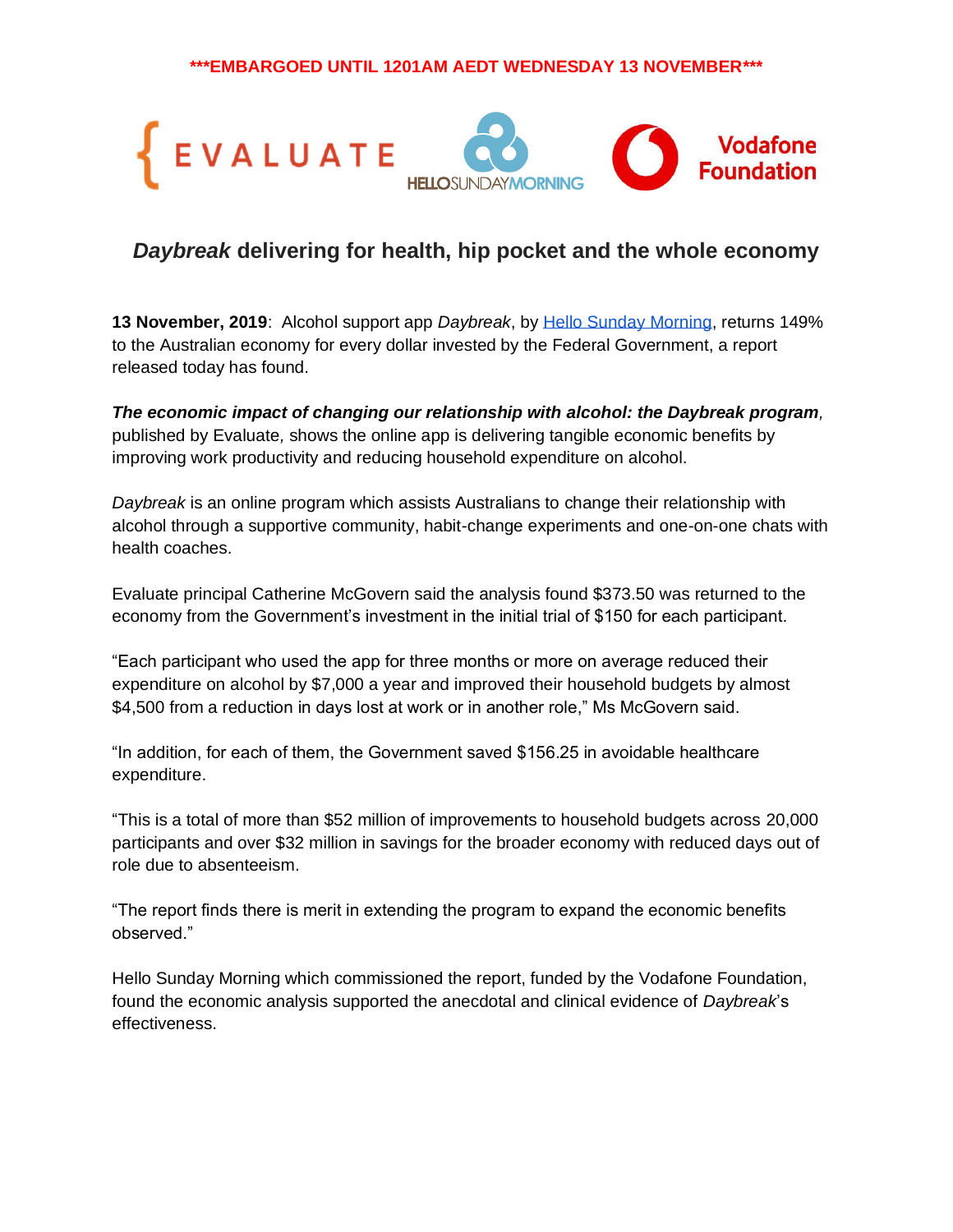**\*\*\*EMBARGOED UNTIL 1201AM AEDT WEDNESDAY 13 NOVEMBER\*\*\***



# *Daybreak* **delivering for health, hip pocket and the whole economy**

**13 November, 2019**: Alcohol support app *Daybreak*, b[y](http://www.hellosundaymorning.org/) [Hello Sunday Morning,](http://www.hellosundaymorning.org/) returns 149% to the Australian economy for every dollar invested by the Federal Government, a report released today has found.

*The economic impact of changing our relationship with alcohol: the Daybreak program,* published by Evaluate*,* shows the online app is delivering tangible economic benefits by improving work productivity and reducing household expenditure on alcohol.

*Daybreak* is an online program which assists Australians to change their relationship with alcohol through a supportive community, habit-change experiments and one-on-one chats with health coaches.

Evaluate principal Catherine McGovern said the analysis found \$373.50 was returned to the economy from the Government's investment in the initial trial of \$150 for each participant.

"Each participant who used the app for three months or more on average reduced their expenditure on alcohol by \$7,000 a year and improved their household budgets by almost \$4,500 from a reduction in days lost at work or in another role," Ms McGovern said.

"In addition, for each of them, the Government saved \$156.25 in avoidable healthcare expenditure.

"This is a total of more than \$52 million of improvements to household budgets across 20,000 participants and over \$32 million in savings for the broader economy with reduced days out of role due to absenteeism.

"The report finds there is merit in extending the program to expand the economic benefits observed."

Hello Sunday Morning which commissioned the report, funded by the Vodafone Foundation, found the economic analysis supported the anecdotal and clinical evidence of *Daybreak*'s effectiveness.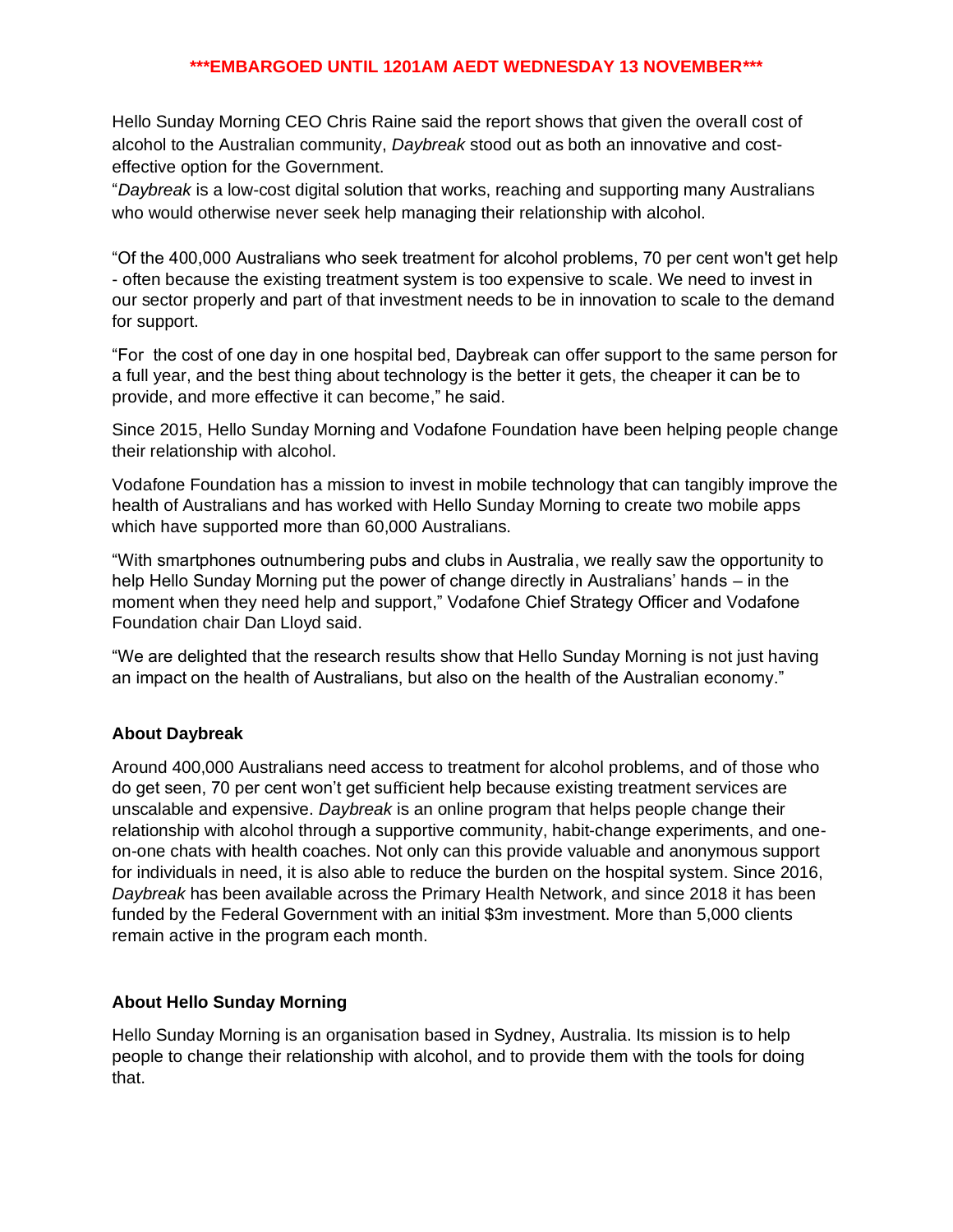#### **\*\*\*EMBARGOED UNTIL 1201AM AEDT WEDNESDAY 13 NOVEMBER\*\*\***

Hello Sunday Morning CEO Chris Raine said the report shows that given the overall cost of alcohol to the Australian community, *Daybreak* stood out as both an innovative and costeffective option for the Government.

"*Daybreak* is a low-cost digital solution that works, reaching and supporting many Australians who would otherwise never seek help managing their relationship with alcohol.

"Of the 400,000 Australians who seek treatment for alcohol problems, 70 per cent won't get help - often because the existing treatment system is too expensive to scale. We need to invest in our sector properly and part of that investment needs to be in innovation to scale to the demand for support.

"For the cost of one day in one hospital bed, Daybreak can offer support to the same person for a full year, and the best thing about technology is the better it gets, the cheaper it can be to provide, and more effective it can become," he said.

Since 2015, Hello Sunday Morning and Vodafone Foundation have been helping people change their relationship with alcohol.

Vodafone Foundation has a mission to invest in mobile technology that can tangibly improve the health of Australians and has worked with Hello Sunday Morning to create two mobile apps which have supported more than 60,000 Australians.

"With smartphones outnumbering pubs and clubs in Australia, we really saw the opportunity to help Hello Sunday Morning put the power of change directly in Australians' hands – in the moment when they need help and support," Vodafone Chief Strategy Officer and Vodafone Foundation chair Dan Lloyd said.

"We are delighted that the research results show that Hello Sunday Morning is not just having an impact on the health of Australians, but also on the health of the Australian economy."

## **About Daybreak**

Around 400,000 Australians need access to treatment for alcohol problems, and of those who do get seen, 70 per cent won't get sufficient help because existing treatment services are unscalable and expensive. *Daybreak* is an online program that helps people change their relationship with alcohol through a supportive community, habit-change experiments, and oneon-one chats with health coaches. Not only can this provide valuable and anonymous support for individuals in need, it is also able to reduce the burden on the hospital system. Since 2016, *Daybreak* has been available across the Primary Health Network, and since 2018 it has been funded by the Federal Government with an initial \$3m investment. More than 5,000 clients remain active in the program each month.

## **About Hello Sunday Morning**

Hello Sunday Morning is an organisation based in Sydney, Australia. Its mission is to help people to change their relationship with alcohol, and to provide them with the tools for doing that.